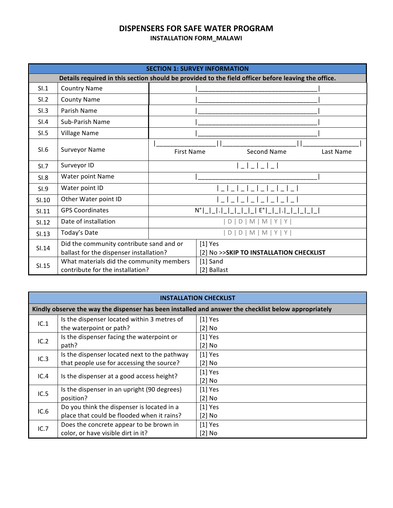# **DISPENSERS FOR SAFE WATER PROGRAM**

### **INSTALLATION FORM\_MALAWI**

| <b>SECTION 1: SURVEY INFORMATION</b>                                                                |                                                                                     |                                                      |                           |                    |           |  |
|-----------------------------------------------------------------------------------------------------|-------------------------------------------------------------------------------------|------------------------------------------------------|---------------------------|--------------------|-----------|--|
| Details required in this section should be provided to the field officer before leaving the office. |                                                                                     |                                                      |                           |                    |           |  |
| SI.1                                                                                                | <b>Country Name</b>                                                                 |                                                      |                           |                    |           |  |
| SI.2                                                                                                | <b>County Name</b>                                                                  |                                                      |                           |                    |           |  |
| SI.3                                                                                                | Parish Name                                                                         |                                                      |                           |                    |           |  |
| SI.4                                                                                                | Sub-Parish Name                                                                     |                                                      |                           |                    |           |  |
| SI.5                                                                                                | Village Name                                                                        |                                                      |                           |                    |           |  |
| SI.6                                                                                                | <b>Surveyor Name</b>                                                                | <b>First Name</b>                                    |                           | <b>Second Name</b> | Last Name |  |
| SI.7                                                                                                | Surveyor ID                                                                         |                                                      |                           |                    |           |  |
| <b>SI.8</b>                                                                                         | Water point Name                                                                    |                                                      |                           |                    |           |  |
| SI.9                                                                                                | Water point ID                                                                      |                                                      |                           |                    |           |  |
| SI.10                                                                                               | Other Water point ID                                                                |                                                      |                           |                    |           |  |
| SI.11                                                                                               | <b>GPS Coordinates</b>                                                              | E°<br>$N^{\circ}$                                    |                           |                    |           |  |
| SI.12                                                                                               | Date of installation                                                                | $M$   M   Y   Y  <br>D<br>D                          |                           |                    |           |  |
| SI.13                                                                                               | Today's Date                                                                        | D   D   M   M   Y   Y                                |                           |                    |           |  |
| SI.14                                                                                               | Did the community contribute sand and or<br>ballast for the dispenser installation? | $[1]$ Yes<br>[2] No >>SKIP TO INSTALLATION CHECKLIST |                           |                    |           |  |
| SI.15                                                                                               | What materials did the community members<br>contribute for the installation?        |                                                      | $[1]$ Sand<br>[2] Ballast |                    |           |  |

#### **INSTALLATION CHECKLIST**

| Kindly observe the way the dispenser has been installed and answer the checklist below appropriately |                                              |           |  |  |  |
|------------------------------------------------------------------------------------------------------|----------------------------------------------|-----------|--|--|--|
| IC.1                                                                                                 | Is the dispenser located within 3 metres of  | $[1]$ Yes |  |  |  |
|                                                                                                      | the waterpoint or path?                      | $[2]$ No  |  |  |  |
| IC.2                                                                                                 | Is the dispenser facing the waterpoint or    | $[1]$ Yes |  |  |  |
|                                                                                                      | path?                                        | $[2]$ No  |  |  |  |
| IC.3                                                                                                 | Is the dispenser located next to the pathway | $[1]$ Yes |  |  |  |
|                                                                                                      | that people use for accessing the source?    | $[2]$ No  |  |  |  |
| IC.4                                                                                                 | Is the dispenser at a good access height?    | $[1]$ Yes |  |  |  |
|                                                                                                      |                                              | $[2]$ No  |  |  |  |
| IC.5                                                                                                 | Is the dispenser in an upright (90 degrees)  | $[1]$ Yes |  |  |  |
|                                                                                                      | position?                                    | $[2]$ No  |  |  |  |
| IC.6                                                                                                 | Do you think the dispenser is located in a   | $[1]$ Yes |  |  |  |
|                                                                                                      | place that could be flooded when it rains?   | $[2]$ No  |  |  |  |
| IC.7                                                                                                 | Does the concrete appear to be brown in      | $[1]$ Yes |  |  |  |
|                                                                                                      | color, or have visible dirt in it?           | $[2]$ No  |  |  |  |